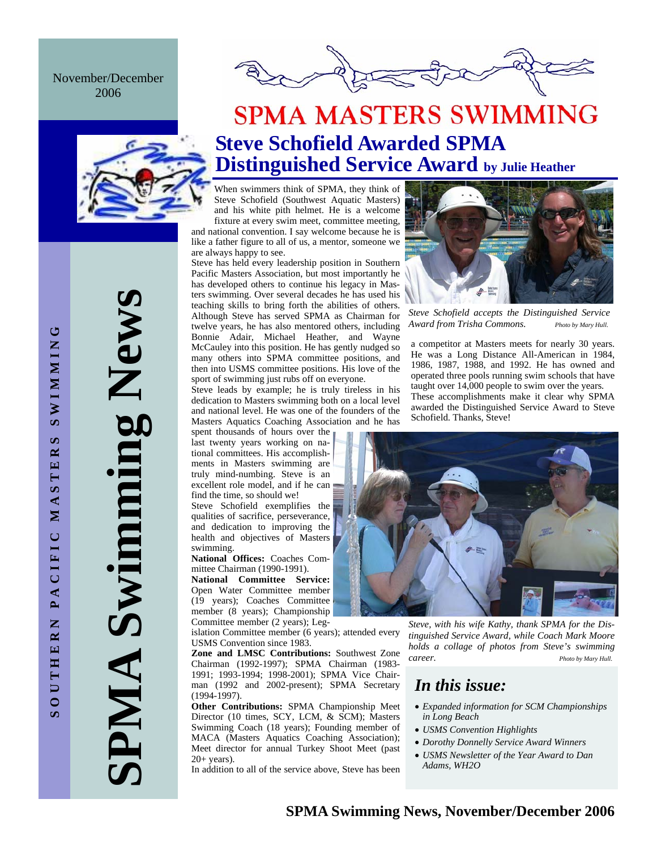November/December 2006



## **SPMA MASTERS SWIMMING Steve Schofield Awarded SPMA Distinguished Service Award by Julie Heather**

When swimmers think of SPMA, they think of Steve Schofield (Southwest Aquatic Masters) and his white pith helmet. He is a welcome fixture at every swim meet, committee meeting, and national convention. I say welcome because he is

like a father figure to all of us, a mentor, someone we are always happy to see.

Steve has held every leadership position in Southern Pacific Masters Association, but most importantly he has developed others to continue his legacy in Masters swimming. Over several decades he has used his teaching skills to bring forth the abilities of others. Although Steve has served SPMA as Chairman for twelve years, he has also mentored others, including Bonnie Adair, Michael Heather, and Wayne McCauley into this position. He has gently nudged so many others into SPMA committee positions, and then into USMS committee positions. His love of the sport of swimming just rubs off on everyone.

Steve leads by example; he is truly tireless in his dedication to Masters swimming both on a local level and national level. He was one of the founders of the Masters Aquatics Coaching Association and he has

spent thousands of hours over the last twenty years working on national committees. His accomplishments in Masters swimming are truly mind-numbing. Steve is an excellent role model, and if he can find the time, so should we!

Steve Schofield exemplifies the qualities of sacrifice, perseverance, and dedication to improving the health and objectives of Masters swimming.

**National Offices:** Coaches Committee Chairman (1990-1991).

**National Committee Service:**  Open Water Committee member (19 years); Coaches Committee member (8 years); Championship Committee member (2 years); Leg-

islation Committee member (6 years); attended every USMS Convention since 1983.

**Zone and LMSC Contributions:** Southwest Zone Chairman (1992-1997); SPMA Chairman (1983- 1991; 1993-1994; 1998-2001); SPMA Vice Chairman (1992 and 2002-present); SPMA Secretary (1994-1997).

**Other Contributions:** SPMA Championship Meet Director (10 times, SCY, LCM, & SCM); Masters Swimming Coach (18 years); Founding member of MACA (Masters Aquatics Coaching Association); Meet director for annual Turkey Shoot Meet (past  $20+$  years).

In addition to all of the service above, Steve has been



*Steve Schofield accepts the Distinguished Service Award from Trisha Commons. Photo by Mary Hull.*

a competitor at Masters meets for nearly 30 years. He was a Long Distance All-American in 1984, 1986, 1987, 1988, and 1992. He has owned and operated three pools running swim schools that have taught over 14,000 people to swim over the years. These accomplishments make it clear why SPMA awarded the Distinguished Service Award to Steve Schofield. Thanks, Steve!



*Steve, with his wife Kathy, thank SPMA for the Distinguished Service Award, while Coach Mark Moore holds a collage of photos from Steve's swimming career. Photo by Mary Hull.*

## *In this issue:*

- *Expanded information for SCM Championships in Long Beach*
- *USMS Convention Highlights*
- *Dorothy Donnelly Service Award Winners*
- *USMS Newsletter of the Year Award to Dan Adams, WH2O*

**SPMA Swimming News** 

**SPMA Swimming News**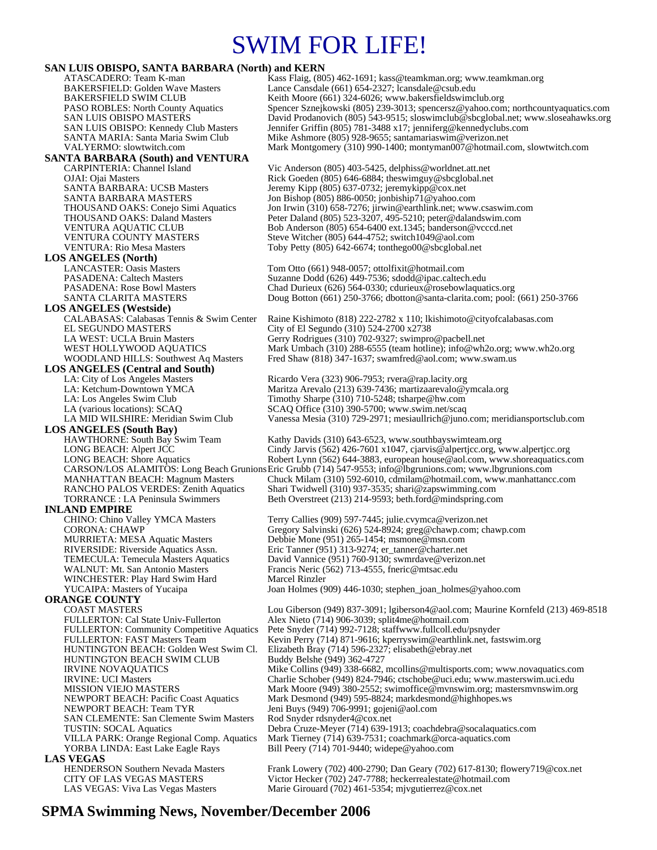## SWIM FOR LIFE!

### **SAN LUIS OBISPO, SANTA BARBARA (North) and KERN**

ATASCADERO: Team K-man Kass Flaig, (805) 462-1691; kass@teamkman.org; www.teamkman.org<br>BAKERSFIELD: Golden Wave Masters Lance Cansdale (661) 654-2327; lcansdale@csub.edu Lance Cansdale (661) 654-2327; lcansdale@csub.edu BAKERSFIELD SWIM CLUB<br>
PASO ROBLES: North County Aquatics Spencer Sznejkowski (805) 239-3013; spencersz@yahoo.com PASO ROBLES: North County Aquatics Spencer Sznejkowski (805) 239-3013; spencersz@yahoo.com; northcountyaquatics.com<br>SAN LUIS OBISPO MASTERS David Prodanovich (805) 543-9515; sloswimclub@sbcglobal.net; www.sloseahawks.org SAN LUIS OBISPO MASTERS David Prodanovich (805) 543-9515; sloswimclub@sbcglobal.net; www.sloseahawks.org SAN LUIS OBISPO: Kennedy Club Masters Jennifer Griffin (805) 781-3488 x17; jenniferg@kennedyclubs.com SANTA MARIA: Santa Maria Swim Club Mike Ashmore (805) 928-9655; santamariaswim@verizon.net<br>VALYERMO: slowtwitch.com Mark Montgomery (310) 990-1400; montyman007@hotmail.c Mark Montgomery (310) 990-1400; montyman007@hotmail.com, slowtwitch.com **SANTA BARBARA (South) and VENTURA**  CARPINTERIA: Channel Island Vic Anderson (805) 403-5425, delphiss@worldnet.att.net<br>
OJAI: Ojai Masters Rick Goeden (805) 646-6884; theswimguy@sbcglobal.net Rick Goeden (805) 646-6884; theswimguy@sbcglobal.net SANTA BARBARA: UCSB Masters Jeremy Kipp (805) 637-0732; jeremykipp@cox.net<br>SANTA BARBARA MASTERS Jon Bishop (805) 886-0050; jonbiship71@yahoo.co SANTA BARBARA MASTERS Jon Bishop (805) 886-0050; jonbiship71@yahoo.com<br>THOUSAND OAKS: Conejo Simi Aquatics Jon Irwin (310) 658-7276; jirwin@earthlink.net; www THOUSAND OAKS: Conejo Simi Aquatics Jon Irwin (310) 658-7276; jirwin@earthlink.net; www.csaswim.com<br>THOUSAND OAKS: Daland Masters Peter Daland (805) 523-3207, 495-5210; peter@dalandswim.com Peter Daland (805) 523-3207, 495-5210; peter@dalandswim.com VENTURA AQUATIC CLUB Bob Anderson (805) 654-6400 ext.1345; banderson @vcccd.net<br>VENTURA COUNTY MASTERS Steve Witcher (805) 644-4752; switch1049@aol.com VENTURA COUNTY MASTERS<br>VENTURA: Rio Mesa Masters Steve Witcher (805) 644-4752; switch1049@aol.com<br>Toby Petty (805) 642-6674; tonthego00@sbcglobal.no Toby Petty (805) 642-6674; tonthego00@sbcglobal.net **LOS ANGELES (North)**  LANCASTER: Oasis Masters Tom Otto (661) 948-0057; ottolfixit@hotmail.com PASADENA: Caltech Masters Suzanne Dodd (626) 449-7536; sdodd@ipac.caltech.edu PASADENA: Rose Bowl Masters Chad Durieux (626) 564-0330; cdurieux@rosebowlaquatics.org<br>SANTA CLARITA MASTERS Doug Botton (661) 250-3766; dbotton@santa-clarita.com; pool: Doug Botton (661) 250-3766; dbotton@santa-clarita.com; pool: (661) 250-3766 **LOS ANGELES (Westside)** CALABASAS: Calabasas Tennis & Swim Center Raine Kishimoto (818) 222-2782 x 110; lkishimoto@cityofcalabasas.com City of El Segundo (310) 524-2700 x2738 LA WEST: UCLA Bruin Masters Gerry Rodrigues (310) 702-9327; swimpro@pacbell.net<br>WEST HOLLYWOOD AQUATICS Mark Umbach (310) 288-6555 (team hotline); info@wh2 WEST HOLLYWOOD AQUATICS Mark Umbach (310) 288-6555 (team hotline); info@wh2o.org; www.wh2o.org<br>WOODLAND HILLS: Southwest Aq Masters Fred Shaw (818) 347-1637; swamfred@aol.com; www.swam.us Fred Shaw (818) 347-1637; swamfred@aol.com; www.swam.us **LOS ANGELES (Central and South)**  LA: City of Los Angeles Masters **Ricardo Vera (323) 906-7953; rvera@rap.lacity.org**<br>
LA: Ketchum-Downtown YMCA Maritza Arevalo (213) 639-7436; martizaarevalo@y Maritza Arevalo (213) 639-7436; martizaarevalo@ymcala.org LA: Los Angeles Swim Club Timothy Sharpe (310) 710-5248; tsharpe@hw.com LA (various locations): SCAQ  $SCAQ$  SCAQ Office (310) 390-5700; www.swim.net/scaq<br>LA MID WILSHIRE: Meridian Swim Club Vanessa Mesia (310) 729-2971; mesiaullrich@juno Vanessa Mesia (310) 729-2971; mesiaullrich@juno.com; meridiansportsclub.com **LOS ANGELES (South Bay)**  Kathy Davids (310) 643-6523, www.southbayswimteam.org LONG BEACH: Alpert JCC Cindy Jarvis (562) 426-7601 x1047, cjarvis @alpertjcc.org, www.alpertjcc.org<br>LONG BEACH: Shore Aquatics Robert Lynn (562) 644-3883, european house @aol.com, www.shoreaquatics.c Robert Lynn (562) 644-3883, european house@aol.com, www.shoreaquatics.com CARSON/LOS ALAMITOS: Long Beach Grunions Eric Grubb (714) 547-9553; info@lbgrunions.com; www.lbgrunions.com Chuck Milam (310) 592-6010, cdmilam@hotmail.com, www.manhattancc.com RANCHO PALOS VERDES: Zenith Aquatics Shari Twidwell (310) 937-3535; shari@zapswimming.com TORRANCE : LA Peninsula Swimmers Beth Overstreet (213) 214-9593; beth.ford@mindspring.com **INLAND EMPIRE**<br>CHINO: Chino Valley YMCA Masters CHINO: Chino Valley YMCA Masters Terry Callies (909) 597-7445; julie.cvymca@verizon.net<br>CORONA: CHAWP Gregory Salvinski (626) 524-8924; greg@chawp.com; ch Gregory Salvinski (626) 524-8924; greg@chawp.com; chawp.com MURRIETA: MESA Aquatic Masters Debbie Mone (951) 265-1454; msmone@msn.com RIVERSIDE: Riverside Aquatics Assn. Eric Tanner (951) 313-9274; er\_tanner@charter.net TEMECULA: Temecula Masters Aquatics David Vannice (951) 760-9130; swmrdave@verizon.net<br>WALNUT: Mt. San Antonio Masters Francis Neric (562) 713-4555, fneric@mtsac.edu Francis Neric (562) 713-4555, fneric@mtsac.edu WINCHESTER: Play Hard Swim Hard Marcel Rinzler<br>YUCAIPA: Masters of Yucaipa Joan Holmes (9 Joan Holmes (909) 446-1030; stephen\_joan\_holmes@yahoo.com **ORANGE COUNTY**  COAST MASTERS Lou Giberson (949) 837-3091; lgiberson4@aol.com; Maurine Kornfeld (213) 469-8518<br>FULLERTON: Cal State Univ-Fullerton Alex Nieto (714) 906-3039; split4me@hotmail.com FULLERTON: Cal State Univ-Fullerton Alex Nieto (714) 906-3039; split4me@hotmail.com Pete Snyder (714) 992-7128; staffwww.fullcoll.edu/psnyder FULLERTON: FAST Masters Team Kevin Perry (714) 871-9616; kperryswim@earthlink.net, fastswim.org<br>HUNTINGTON BEACH: Golden West Swim Cl. Elizabeth Bray (714) 596-2327; elisabeth@ebray.net Elizabeth Bray (714) 596-2327; elisabeth@ebray.net<br>Buddy Belshe (949) 362-4727 HUNTINGTON BEACH SWIM CLUB IRVINE NOVAQUATICS Mike Collins (949) 338-6682, mcollins@multisports.com; www.novaquatics.com IRVINE: UCI Masters **Charlie Schober (949) 824-7946; ctschobe@uci.edu**; www.masterswim.uci.edu<br>MISSION VIEJO MASTERS Mark Moore (949) 380-2552: swimoffice@mynswim.org: mastersmynswim.org MISSION VIEJO MASTERS<br>Mark Moore (949) 380-2552; swimoffice@mvnswim.org; mastersmvnswim.org<br>NEWPORT BEACH: Pacific Coast Aquatics Mark Desmond (949) 595-8824; markdesmond@highhopes.ws NEWPORT BEACH: Pacific Coast Aquatics Mark Desmond (949) 595-8824; markdesmond@highhopes.ws<br>NEWPORT BEACH: Team TYR Jeni Buys (949) 706-9991; gojeni@aol.com Jeni Buys (949) 706-9991; gojeni@aol.com SAN CLEMENTE: San Clemente Swim Masters Rod Snyder rdsnyder4@cox.net<br>TUSTIN: SOCAL Aquatics Debra Cruze-Meyer (714) 639-1 TUSTIN: SOCAL Aquatics Debra Cruze-Meyer (714) 639-1913; coachdebra@socalaquatics.com VILLA PARK: Orange Regional Comp. Aquatics Mark Tierney (714) 639-7531; coachmark@orca-aquatics.com Bill Peery (714) 701-9440; widepe@yahoo.com **LAS VEGAS**  HENDERSON Southern Nevada Masters Frank Lowery (702) 400-2790; Dan Geary (702) 617-8130; flowery719@cox.net<br>CITY OF LAS VEGAS MASTERS Victor Hecker (702) 247-7788; heckerrealestate@hotmail.com CITY OF LAS VEGAS MASTERS Victor Hecker (702) 247-7788; heckerrealestate@hotmail.com<br>LAS VEGAS: Viva Las Vegas Masters Marie Girouard (702) 461-5354; mjvgutierrez@cox.net Marie Girouard (702) 461-5354; mjvgutierrez@cox.net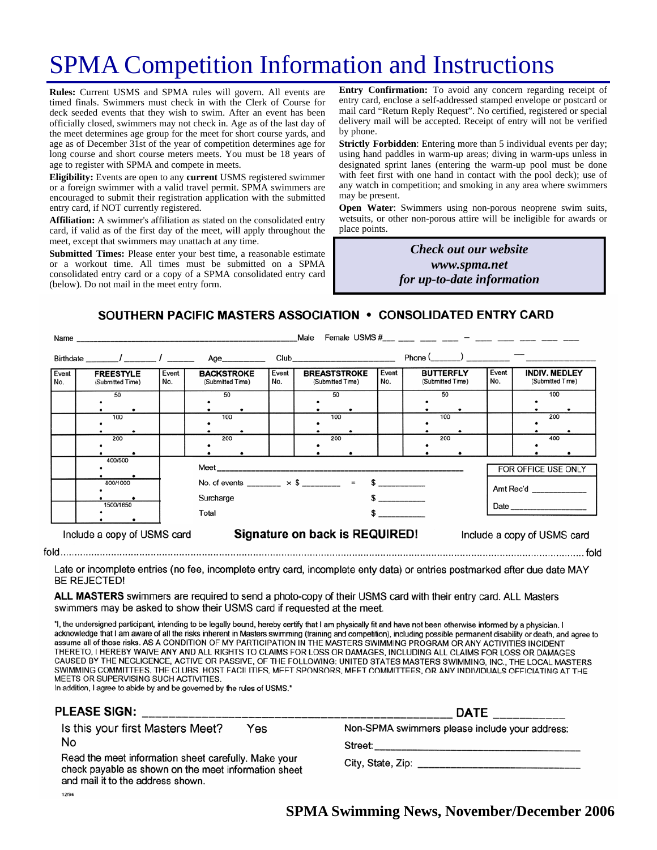# SPMA Competition Information and Instructions

**Rules:** Current USMS and SPMA rules will govern. All events are timed finals. Swimmers must check in with the Clerk of Course for deck seeded events that they wish to swim. After an event has been officially closed, swimmers may not check in. Age as of the last day of the meet determines age group for the meet for short course yards, and age as of December 31st of the year of competition determines age for long course and short course meters meets. You must be 18 years of age to register with SPMA and compete in meets.

**Eligibility:** Events are open to any **current** USMS registered swimmer or a foreign swimmer with a valid travel permit. SPMA swimmers are encouraged to submit their registration application with the submitted entry card, if NOT currently registered.

**Affiliation:** A swimmer's affiliation as stated on the consolidated entry card, if valid as of the first day of the meet, will apply throughout the meet, except that swimmers may unattach at any time.

**Submitted Times:** Please enter your best time, a reasonable estimate or a workout time. All times must be submitted on a SPMA consolidated entry card or a copy of a SPMA consolidated entry card (below). Do not mail in the meet entry form.

**Entry Confirmation:** To avoid any concern regarding receipt of entry card, enclose a self-addressed stamped envelope or postcard or mail card "Return Reply Request". No certified, registered or special delivery mail will be accepted. Receipt of entry will not be verified by phone.

**Strictly Forbidden**: Entering more than 5 individual events per day; using hand paddles in warm-up areas; diving in warm-ups unless in designated sprint lanes (entering the warm-up pool must be done with feet first with one hand in contact with the pool deck); use of any watch in competition; and smoking in any area where swimmers may be present.

**Open Water**: Swimmers using non-porous neoprene swim suits, wetsuits, or other non-porous attire will be ineligible for awards or place points.

> *Check out our website www.spma.net for up-to-date information*

SOUTHERN PACIFIC MASTERS ASSOCIATION • CONSOLIDATED ENTRY CARD

|              | Name                                 | Female USMS $\#$ $-$<br>Male                                            |                                       |              |                                                                                                                                                                                                                                |                               |                                                       |                                                          |
|--------------|--------------------------------------|-------------------------------------------------------------------------|---------------------------------------|--------------|--------------------------------------------------------------------------------------------------------------------------------------------------------------------------------------------------------------------------------|-------------------------------|-------------------------------------------------------|----------------------------------------------------------|
|              | Birthdate / /                        |                                                                         | Age__________                         |              | Club and the contract of the contract of the contract of the contract of the contract of the contract of the contract of the contract of the contract of the contract of the contract of the contract of the contract of the c |                               | Phone $\qquad \qquad$ $\qquad \qquad$ $\qquad \qquad$ |                                                          |
| Event<br>No. | <b>FREESTYLE</b><br>(Submitted Time) | Event<br>No.                                                            | <b>BACKSTROKE</b><br>(Submitted Time) | Event<br>No. | <b>BREASTSTROKE</b><br>(Submitted Time)                                                                                                                                                                                        | Event<br>No.                  | <b>BUTTERFLY</b><br>(Submitted Time)                  | Event<br><b>INDIV. MEDLEY</b><br>No.<br>(Submitted Time) |
|              | 50                                   |                                                                         | 50                                    |              | 50                                                                                                                                                                                                                             |                               | 50                                                    | 100                                                      |
|              | 100                                  |                                                                         | 100                                   |              | 100                                                                                                                                                                                                                            |                               | 100                                                   | 200                                                      |
|              | 200                                  |                                                                         | 200                                   |              | 200                                                                                                                                                                                                                            |                               | 200                                                   | 400                                                      |
|              | 400/500                              |                                                                         | FOR OFFICE USE ONLY                   |              |                                                                                                                                                                                                                                |                               |                                                       |                                                          |
|              | 800/1000                             | No. of events ________ $\times$ \$ ________ = \$ _________<br>Surcharge | Amt Rec'd                             |              |                                                                                                                                                                                                                                |                               |                                                       |                                                          |
|              | 1500/1650                            |                                                                         | Total                                 |              |                                                                                                                                                                                                                                | $\frac{1}{2}$<br>$\mathbf{s}$ |                                                       |                                                          |
|              | Include a copy of USMS card          | Signature on back is REQUIRED!<br>Include a copy of USMS card           |                                       |              |                                                                                                                                                                                                                                |                               |                                                       |                                                          |
|              |                                      |                                                                         |                                       |              |                                                                                                                                                                                                                                |                               |                                                       |                                                          |

Late or incomplete entries (no fee, incomplete entry card, incomplete enty data) or entries postmarked after due date MAY **BE REJECTED!** 

ALL MASTERS swimmers are required to send a photo-copy of their USMS card with their entry card. ALL Masters swimmers may be asked to show their USMS card if requested at the meet.

"I, the undersigned participant, intending to be legally bound, hereby certify that I am physically fit and have not been otherwise informed by a physician. I acknowledge that I am aware of all the risks inherent in Masters swimming (training and competition), including possible permanent disability or death, and agree to assume all of those risks. AS A CONDITION OF MY PARTICIPATION IN THE MASTERS SWIMMING PROGRAM OR ANY ACTIVITIES INCIDENT THERETO, I HEREBY WAIVE ANY AND ALL RIGHTS TO CLAIMS FOR LOSS OR DAMAGES, INCLUDING ALL CLAIMS FOR LOSS OR DAMAGES CAUSED BY THE NEGLIGENCE, ACTIVE OR PASSIVE, OF THE FOLLOWING: UNITED STATES MASTERS SWIMMING, INC., THE LOCAL MASTERS SWIMMING COMMITTEES, THE CLUBS, HOST FACILITIES, MEET SPONSORS, MEET COMMITTEES, OR ANY INDIVIDUALS OFFICIATING AT THE MEETS OR SUPERVISING SUCH ACTIVITIES.

In addition, I agree to abide by and be governed by the rules of USMS."

| <b>PLEASE SIGN:</b>                                                                                                                               | <b>DATE</b>                                    |  |  |
|---------------------------------------------------------------------------------------------------------------------------------------------------|------------------------------------------------|--|--|
| Is this your first Masters Meet?<br>Yes                                                                                                           | Non-SPMA swimmers please include your address: |  |  |
| No                                                                                                                                                | Street:                                        |  |  |
| Read the meet information sheet carefully. Make your<br>check payable as shown on the meet information sheet<br>and mail it to the address shown. |                                                |  |  |
| 12/94                                                                                                                                             |                                                |  |  |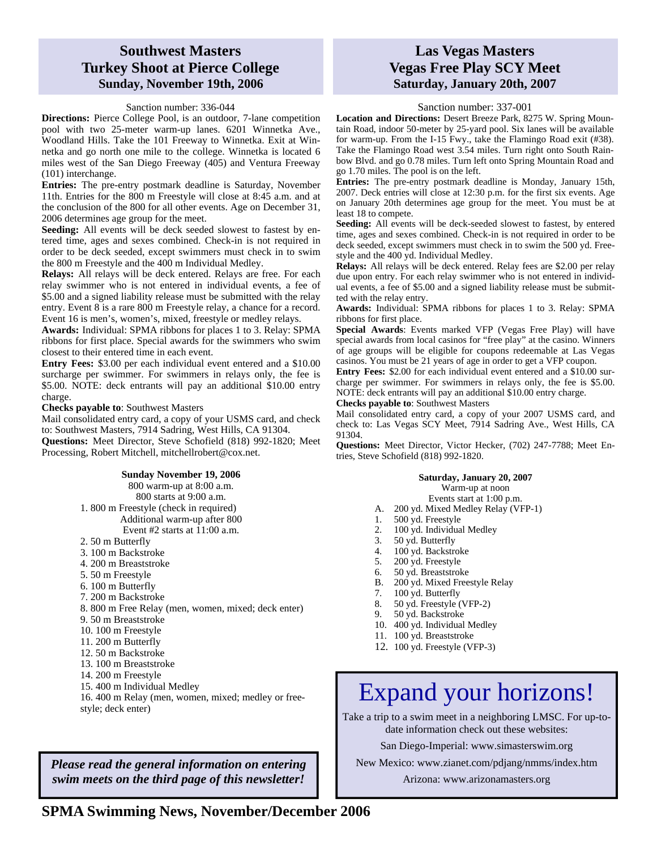### **Southwest Masters Turkey Shoot at Pierce College Sunday, November 19th, 2006**

#### Sanction number: 336-044

**Directions:** Pierce College Pool, is an outdoor, 7-lane competition pool with two 25-meter warm-up lanes. 6201 Winnetka Ave., Woodland Hills. Take the 101 Freeway to Winnetka. Exit at Winnetka and go north one mile to the college. Winnetka is located 6 miles west of the San Diego Freeway (405) and Ventura Freeway (101) interchange.

**Entries:** The pre-entry postmark deadline is Saturday, November 11th. Entries for the 800 m Freestyle will close at 8:45 a.m. and at the conclusion of the 800 for all other events. Age on December 31, 2006 determines age group for the meet.

**Seeding:** All events will be deck seeded slowest to fastest by entered time, ages and sexes combined. Check-in is not required in order to be deck seeded, except swimmers must check in to swim the 800 m Freestyle and the 400 m Individual Medley.

**Relays:** All relays will be deck entered. Relays are free. For each relay swimmer who is not entered in individual events, a fee of \$5.00 and a signed liability release must be submitted with the relay entry. Event 8 is a rare 800 m Freestyle relay, a chance for a record. Event 16 is men's, women's, mixed, freestyle or medley relays.

**Awards:** Individual: SPMA ribbons for places 1 to 3. Relay: SPMA ribbons for first place. Special awards for the swimmers who swim closest to their entered time in each event.

**Entry Fees:** \$3.00 per each individual event entered and a \$10.00 surcharge per swimmer. For swimmers in relays only, the fee is \$5.00. NOTE: deck entrants will pay an additional \$10.00 entry charge.

#### **Checks payable to**: Southwest Masters

Mail consolidated entry card, a copy of your USMS card, and check to: Southwest Masters, 7914 Sadring, West Hills, CA 91304. **Questions:** Meet Director, Steve Schofield (818) 992-1820; Meet Processing, Robert Mitchell, mitchellrobert@cox.net.

#### **Sunday November 19, 2006**

800 warm-up at 8:00 a.m. 800 starts at 9:00 a.m. 1. 800 m Freestyle (check in required) Additional warm-up after 800 Event #2 starts at  $11:00$  a.m.

- 2. 50 m Butterfly
- 3. 100 m Backstroke
- 4. 200 m Breaststroke
- 5. 50 m Freestyle
- 6. 100 m Butterfly
- 7. 200 m Backstroke
- 8. 800 m Free Relay (men, women, mixed; deck enter)
- 9. 50 m Breaststroke
- 10. 100 m Freestyle
- 11. 200 m Butterfly
- 12. 50 m Backstroke
- 13. 100 m Breaststroke
- 14. 200 m Freestyle
- 15. 400 m Individual Medley
- 16. 400 m Relay (men, women, mixed; medley or freestyle; deck enter)

*Please read the general information on entering swim meets on the third page of this newsletter!* 

### **Las Vegas Masters Vegas Free Play SCY Meet Saturday, January 20th, 2007**

#### Sanction number: 337-001

**Location and Directions:** Desert Breeze Park, 8275 W. Spring Mountain Road, indoor 50-meter by 25-yard pool. Six lanes will be available for warm-up. From the I-15 Fwy., take the Flamingo Road exit (#38). Take the Flamingo Road west 3.54 miles. Turn right onto South Rainbow Blvd. and go 0.78 miles. Turn left onto Spring Mountain Road and go 1.70 miles. The pool is on the left.

**Entries:** The pre-entry postmark deadline is Monday, January 15th, 2007. Deck entries will close at 12:30 p.m. for the first six events. Age on January 20th determines age group for the meet. You must be at least 18 to compete.

Seeding: All events will be deck-seeded slowest to fastest, by entered time, ages and sexes combined. Check-in is not required in order to be deck seeded, except swimmers must check in to swim the 500 yd. Freestyle and the 400 yd. Individual Medley.

**Relays:** All relays will be deck entered. Relay fees are \$2.00 per relay due upon entry. For each relay swimmer who is not entered in individual events, a fee of \$5.00 and a signed liability release must be submitted with the relay entry.

**Awards:** Individual: SPMA ribbons for places 1 to 3. Relay: SPMA ribbons for first place.

**Special Awards**: Events marked VFP (Vegas Free Play) will have special awards from local casinos for "free play" at the casino. Winners of age groups will be eligible for coupons redeemable at Las Vegas casinos. You must be 21 years of age in order to get a VFP coupon.

**Entry Fees:** \$2.00 for each individual event entered and a \$10.00 surcharge per swimmer. For swimmers in relays only, the fee is \$5.00. NOTE: deck entrants will pay an additional \$10.00 entry charge.

**Checks payable to**: Southwest Masters Mail consolidated entry card, a copy of your 2007 USMS card, and

check to: Las Vegas SCY Meet, 7914 Sadring Ave., West Hills, CA 91304.

**Questions:** Meet Director, Victor Hecker, (702) 247-7788; Meet Entries, Steve Schofield (818) 992-1820.

#### **Saturday, January 20, 2007**  Warm-up at noon

- Events start at 1:00 p.m.
- A. 200 yd. Mixed Medley Relay (VFP-1)
- 
- 1. 500 yd. Freestyle<br>2. 100 yd. Individua 100 yd. Individual Medley
- 3. 50 yd. Butterfly
- 4. 100 yd. Backstroke
- 5. 200 yd. Freestyle
- 
- 6. 50 yd. Breaststroke
- 200 yd. Mixed Freestyle Relay 7. 100 yd. Butterfly
- 
- 8. 50 yd. Freestyle (VFP-2)
- 9. 50 yd. Backstroke
- 10. 400 yd. Individual Medley
- 11. 100 yd. Breaststroke
- 12. 100 yd. Freestyle (VFP-3)

# Expand your horizons!

Take a trip to a swim meet in a neighboring LMSC. For up-todate information check out these websites:

San Diego-Imperial: www.simasterswim.org

New Mexico: www.zianet.com/pdjang/nmms/index.htm

Arizona: www.arizonamasters.org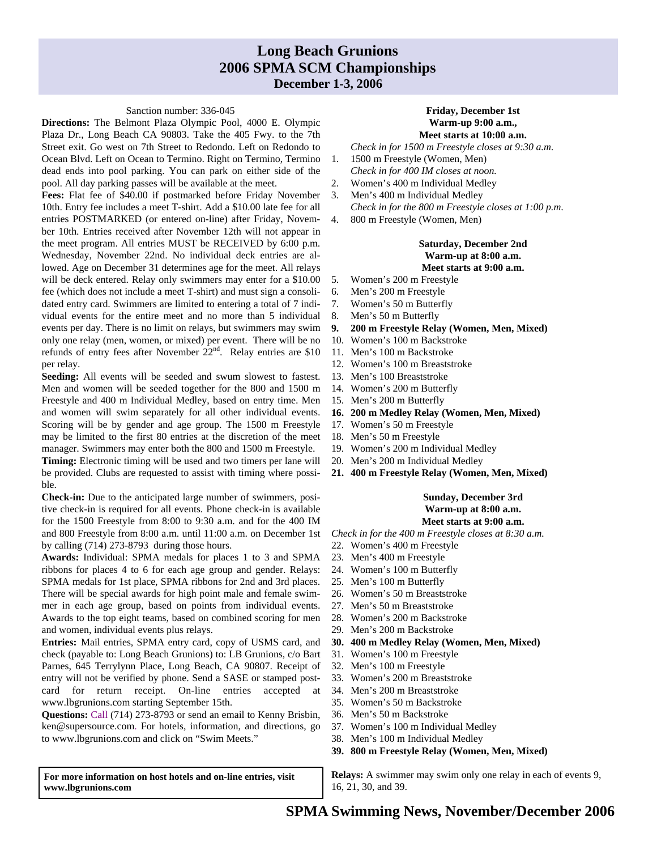### **Long Beach Grunions 2006 SPMA SCM Championships December 1-3, 2006**

#### Sanction number: 336-045

**Directions:** The Belmont Plaza Olympic Pool, 4000 E. Olympic Plaza Dr., Long Beach CA 90803. Take the 405 Fwy. to the 7th Street exit. Go west on 7th Street to Redondo. Left on Redondo to Ocean Blvd. Left on Ocean to Termino. Right on Termino, Termino dead ends into pool parking. You can park on either side of the pool. All day parking passes will be available at the meet.

**Fees:** Flat fee of \$40.00 if postmarked before Friday November 10th. Entry fee includes a meet T-shirt. Add a \$10.00 late fee for all entries POSTMARKED (or entered on-line) after Friday, November 10th. Entries received after November 12th will not appear in the meet program. All entries MUST be RECEIVED by 6:00 p.m. Wednesday, November 22nd. No individual deck entries are allowed. Age on December 31 determines age for the meet. All relays will be deck entered. Relay only swimmers may enter for a \$10.00 fee (which does not include a meet T-shirt) and must sign a consolidated entry card. Swimmers are limited to entering a total of 7 individual events for the entire meet and no more than 5 individual events per day. There is no limit on relays, but swimmers may swim only one relay (men, women, or mixed) per event. There will be no refunds of entry fees after November  $22<sup>nd</sup>$ . Relay entries are \$10 per relay.

**Seeding:** All events will be seeded and swum slowest to fastest. Men and women will be seeded together for the 800 and 1500 m Freestyle and 400 m Individual Medley, based on entry time. Men and women will swim separately for all other individual events. Scoring will be by gender and age group. The 1500 m Freestyle may be limited to the first 80 entries at the discretion of the meet manager. Swimmers may enter both the 800 and 1500 m Freestyle.

**Timing:** Electronic timing will be used and two timers per lane will be provided. Clubs are requested to assist with timing where possible.

**Check-in:** Due to the anticipated large number of swimmers, positive check-in is required for all events. Phone check-in is available for the 1500 Freestyle from 8:00 to 9:30 a.m. and for the 400 IM and 800 Freestyle from 8:00 a.m. until 11:00 a.m. on December 1st by calling (714) 273-8793 during those hours.

**Awards:** Individual: SPMA medals for places 1 to 3 and SPMA ribbons for places 4 to 6 for each age group and gender. Relays: SPMA medals for 1st place, SPMA ribbons for 2nd and 3rd places. There will be special awards for high point male and female swimmer in each age group, based on points from individual events. Awards to the top eight teams, based on combined scoring for men and women, individual events plus relays.

**Entries:** Mail entries, SPMA entry card, copy of USMS card, and check (payable to: Long Beach Grunions) to: LB Grunions, c/o Bart Parnes, 645 Terrylynn Place, Long Beach, CA 90807. Receipt of entry will not be verified by phone. Send a SASE or stamped postcard for return receipt. On-line entries accepted at www.lbgrunions.com starting September 15th.

**Questions:** Call (714) 273-8793 or send an email to Kenny Brisbin, ken@supersource.com. For hotels, information, and directions, go to www.lbgrunions.com and click on "Swim Meets."

**For more information on host hotels and on-line entries, visit www.lbgrunions.com** 

#### **Friday, December 1st Warm-up 9:00 a.m., Meet starts at 10:00 a.m.**

*Check in for 1500 m Freestyle closes at 9:30 a.m*.

- 1. 1500 m Freestyle (Women, Men) *Check in for 400 IM closes at noon.*
- 2. Women's 400 m Individual Medley
- 3. Men's 400 m Individual Medley *Check in for the 800 m Freestyle closes at 1:00 p.m*.
- 4. 800 m Freestyle (Women, Men)

### **Saturday, December 2nd Warm-up at 8:00 a.m. Meet starts at 9:00 a.m.**

- 5. Women's 200 m Freestyle
- 6. Men's 200 m Freestyle
- 7. Women's 50 m Butterfly
- 8. Men's 50 m Butterfly
- **9. 200 m Freestyle Relay (Women, Men, Mixed)**
- 10. Women's 100 m Backstroke
- 11. Men's 100 m Backstroke
- 12. Women's 100 m Breaststroke
- 13. Men's 100 Breaststroke
- 14. Women's 200 m Butterfly
- 15. Men's 200 m Butterfly
- **16. 200 m Medley Relay (Women, Men, Mixed)**
- 17. Women's 50 m Freestyle
- 18. Men's 50 m Freestyle
- 19. Women's 200 m Individual Medley
- 20. Men's 200 m Individual Medley
- **21. 400 m Freestyle Relay (Women, Men, Mixed)**

#### **Sunday, December 3rd Warm-up at 8:00 a.m. Meet starts at 9:00 a.m.**

*Check in for the 400 m Freestyle closes at 8:30 a.m.* 

- 22. Women's 400 m Freestyle
- 23. Men's 400 m Freestyle
- 24. Women's 100 m Butterfly
- 25. Men's 100 m Butterfly
- 26. Women's 50 m Breaststroke
- 27. Men's 50 m Breaststroke
- 28. Women's 200 m Backstroke
- 29. Men's 200 m Backstroke
- **30. 400 m Medley Relay (Women, Men, Mixed)**
- 31. Women's 100 m Freestyle
- 32. Men's 100 m Freestyle
- 33. Women's 200 m Breaststroke
- 34. Men's 200 m Breaststroke
- 35. Women's 50 m Backstroke
- 36. Men's 50 m Backstroke
- 37. Women's 100 m Individual Medley
- 38. Men's 100 m Individual Medley
- **39. 800 m Freestyle Relay (Women, Men, Mixed)**

**Relays:** A swimmer may swim only one relay in each of events 9, 16, 21, 30, and 39.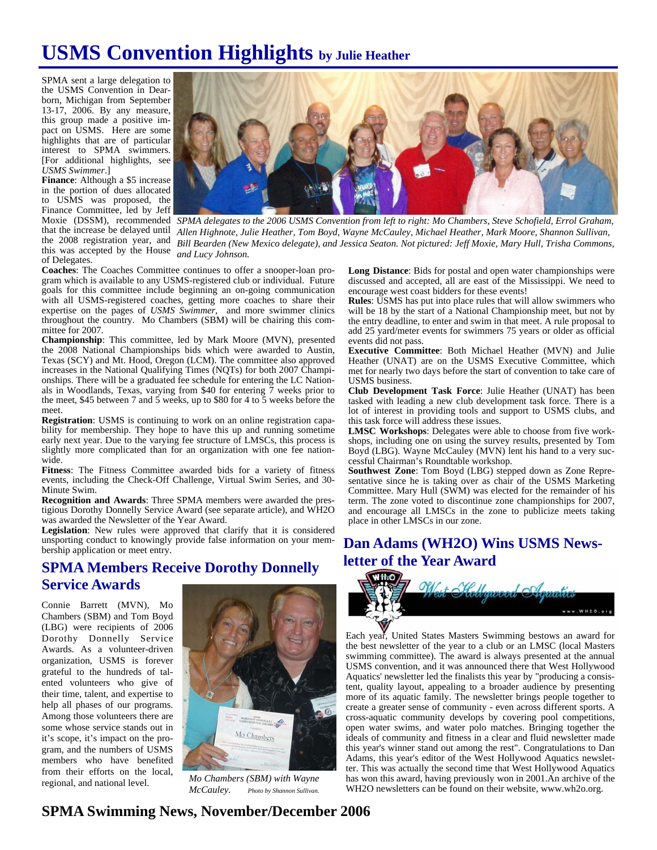## **USMS Convention Highlights by Julie Heather**

SPMA sent a large delegation to the USMS Convention in Dearborn, Michigan from September 13-17, 2006. By any measure, this group made a positive impact on USMS. Here are some highlights that are of particular interest to SPMA swimmers. [For additional highlights, see *USMS Swimmer*.]

**Finance**: Although a \$5 increase in the portion of dues allocated to USMS was proposed, the Finance Committee, led by Jeff that the increase be delayed until this was accepted by the House *and Lucy Johnson.*  of Delegates.



Moxie (DSSM), recommended SPMA delegates to the 2006 USMS Convention from left to right: Mo Chambers, Steve Schofield, Errol Graham, the 2008 registration year, and *Bill Bearden (New Mexico delegate), and Jessica Seaton. Not pictured: Jeff Moxie, Mary Hull, Trisha Commons, Allen Highnote, Julie Heather, Tom Boyd, Wayne McCauley, Michael Heather, Mark Moore, Shannon Sullivan,* 

**Coaches**: The Coaches Committee continues to offer a snooper-loan program which is available to any USMS-registered club or individual. Future goals for this committee include beginning an on-going communication with all USMS-registered coaches, getting more coaches to share their expertise on the pages of *USMS Swimmer*, and more swimmer clinics throughout the country. Mo Chambers (SBM) will be chairing this committee for 2007.

**Championship**: This committee, led by Mark Moore (MVN), presented the 2008 National Championships bids which were awarded to Austin, Texas (SCY) and Mt. Hood, Oregon (LCM). The committee also approved increases in the National Qualifying Times (NQTs) for both 2007 Championships. There will be a graduated fee schedule for entering the LC Nationals in Woodlands, Texas, varying from \$40 for entering 7 weeks prior to the meet, \$45 between 7 and 5 weeks, up to \$80 for 4 to 5 weeks before the meet.

**Registration**: USMS is continuing to work on an online registration capability for membership. They hope to have this up and running sometime early next year. Due to the varying fee structure of LMSCs, this process is slightly more complicated than for an organization with one fee nationwide.

**Fitness**: The Fitness Committee awarded bids for a variety of fitness events, including the Check-Off Challenge, Virtual Swim Series, and 30- Minute Swim.

**Recognition and Awards**: Three SPMA members were awarded the prestigious Dorothy Donnelly Service Award (see separate article), and WH2O was awarded the Newsletter of the Year Award.

**Legislation**: New rules were approved that clarify that it is considered unsporting conduct to knowingly provide false information on your membership application or meet entry.

### **SPMA Members Receive Dorothy Donnelly Service Awards**

Connie Barrett (MVN), Mo Chambers (SBM) and Tom Boyd (LBG) were recipients of 2006 Dorothy Donnelly Service Awards. As a volunteer-driven organization, USMS is forever grateful to the hundreds of talented volunteers who give of their time, talent, and expertise to help all phases of our programs. Among those volunteers there are some whose service stands out in it's scope, it's impact on the program, and the numbers of USMS members who have benefited from their efforts on the local, regional, and national level.



*Mo Chambers (SBM) with Wayne McCauley. Photo by Shannon Sullivan.*

**Long Distance**: Bids for postal and open water championships were discussed and accepted, all are east of the Mississippi. We need to encourage west coast bidders for these events!

**Rules**: USMS has put into place rules that will allow swimmers who will be 18 by the start of a National Championship meet, but not by the entry deadline, to enter and swim in that meet. A rule proposal to add 25 yard/meter events for swimmers 75 years or older as official events did not pass.

**Executive Committee**: Both Michael Heather (MVN) and Julie Heather (UNAT) are on the USMS Executive Committee, which met for nearly two days before the start of convention to take care of USMS business.

**Club Development Task Force**: Julie Heather (UNAT) has been tasked with leading a new club development task force. There is a lot of interest in providing tools and support to USMS clubs, and this task force will address these issues.

**LMSC Workshops**: Delegates were able to choose from five workshops, including one on using the survey results, presented by Tom Boyd (LBG). Wayne McCauley (MVN) lent his hand to a very successful Chairman's Roundtable workshop.

**Southwest Zone**: Tom Boyd (LBG) stepped down as Zone Representative since he is taking over as chair of the USMS Marketing Committee. Mary Hull (SWM) was elected for the remainder of his term. The zone voted to discontinue zone championships for 2007, and encourage all LMSCs in the zone to publicize meets taking place in other LMSCs in our zone.

## **Dan Adams (WH2O) Wins USMS Newsletter of the Year Award**



Each year, United States Masters Swimming bestows an award for the best newsletter of the year to a club or an LMSC (local Masters swimming committee). The award is always presented at the annual USMS convention, and it was announced there that West Hollywood Aquatics' newsletter led the finalists this year by "producing a consistent, quality layout, appealing to a broader audience by presenting more of its aquatic family. The newsletter brings people together to create a greater sense of community - even across different sports. A cross-aquatic community develops by covering pool competitions, open water swims, and water polo matches. Bringing together the ideals of community and fitness in a clear and fluid newsletter made this year's winner stand out among the rest". Congratulations to Dan Adams, this year's editor of the West Hollywood Aquatics newsletter. This was actually the second time that West Hollywood Aquatics has won this award, having previously won in 2001.An archive of the WH2O newsletters can be found on their website, www.wh2o.org.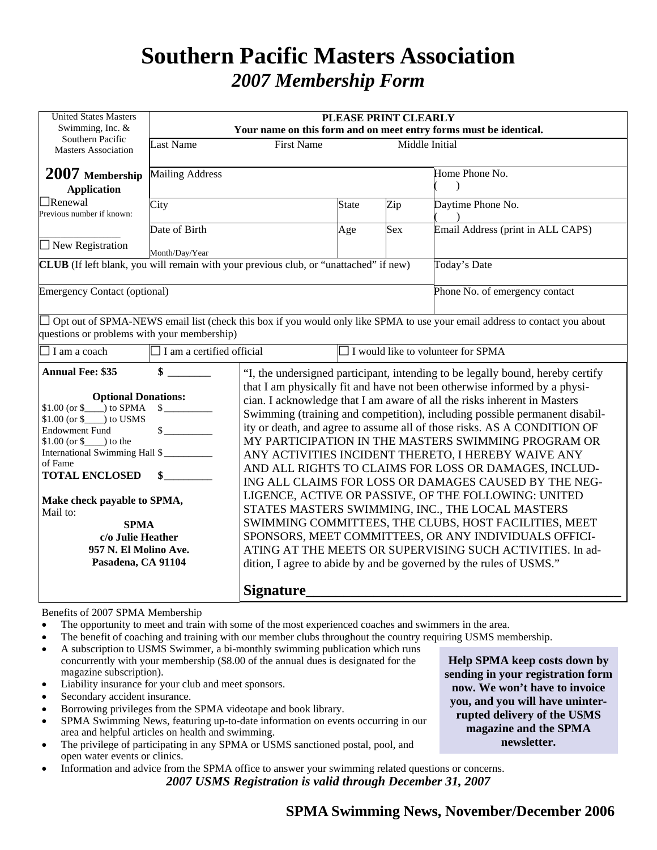## **Southern Pacific Masters Association**  *2007 Membership Form*

| <b>United States Masters</b><br>Swimming, Inc. &                                                                                                                                                                                                                                                                                                                                                    | PLEASE PRINT CLEARLY<br>Your name on this form and on meet entry forms must be identical. |                                                                                                                                                                                                                                                                                                                                                                                                                                                                                                                                                                                                                                                                                                                                                                                                                                                                                                                 |                                                                                |                   |                                                                                                                                   |  |  |  |
|-----------------------------------------------------------------------------------------------------------------------------------------------------------------------------------------------------------------------------------------------------------------------------------------------------------------------------------------------------------------------------------------------------|-------------------------------------------------------------------------------------------|-----------------------------------------------------------------------------------------------------------------------------------------------------------------------------------------------------------------------------------------------------------------------------------------------------------------------------------------------------------------------------------------------------------------------------------------------------------------------------------------------------------------------------------------------------------------------------------------------------------------------------------------------------------------------------------------------------------------------------------------------------------------------------------------------------------------------------------------------------------------------------------------------------------------|--------------------------------------------------------------------------------|-------------------|-----------------------------------------------------------------------------------------------------------------------------------|--|--|--|
| Southern Pacific<br><b>Masters Association</b>                                                                                                                                                                                                                                                                                                                                                      | <b>Last Name</b><br>Middle Initial<br><b>First Name</b>                                   |                                                                                                                                                                                                                                                                                                                                                                                                                                                                                                                                                                                                                                                                                                                                                                                                                                                                                                                 |                                                                                |                   |                                                                                                                                   |  |  |  |
| <b>Mailing Address</b><br>2007 Membership<br><b>Application</b>                                                                                                                                                                                                                                                                                                                                     |                                                                                           |                                                                                                                                                                                                                                                                                                                                                                                                                                                                                                                                                                                                                                                                                                                                                                                                                                                                                                                 |                                                                                | Home Phone No.    |                                                                                                                                   |  |  |  |
| $\Box$ Renewal<br>Previous number if known:                                                                                                                                                                                                                                                                                                                                                         | City                                                                                      | <b>State</b>                                                                                                                                                                                                                                                                                                                                                                                                                                                                                                                                                                                                                                                                                                                                                                                                                                                                                                    | Zip                                                                            | Daytime Phone No. |                                                                                                                                   |  |  |  |
| $\Box$ New Registration                                                                                                                                                                                                                                                                                                                                                                             | Date of Birth<br>Month/Day/Year                                                           |                                                                                                                                                                                                                                                                                                                                                                                                                                                                                                                                                                                                                                                                                                                                                                                                                                                                                                                 | Age                                                                            | Sex               | Email Address (print in ALL CAPS)                                                                                                 |  |  |  |
| <b>CLUB</b> (If left blank, you will remain with your previous club, or "unattached" if new)                                                                                                                                                                                                                                                                                                        |                                                                                           |                                                                                                                                                                                                                                                                                                                                                                                                                                                                                                                                                                                                                                                                                                                                                                                                                                                                                                                 |                                                                                |                   | Today's Date                                                                                                                      |  |  |  |
| <b>Emergency Contact (optional)</b>                                                                                                                                                                                                                                                                                                                                                                 |                                                                                           |                                                                                                                                                                                                                                                                                                                                                                                                                                                                                                                                                                                                                                                                                                                                                                                                                                                                                                                 |                                                                                |                   | Phone No. of emergency contact                                                                                                    |  |  |  |
| questions or problems with your membership)                                                                                                                                                                                                                                                                                                                                                         |                                                                                           |                                                                                                                                                                                                                                                                                                                                                                                                                                                                                                                                                                                                                                                                                                                                                                                                                                                                                                                 |                                                                                |                   | $\Box$ Opt out of SPMA-NEWS email list (check this box if you would only like SPMA to use your email address to contact you about |  |  |  |
| $\Box$ I am a coach                                                                                                                                                                                                                                                                                                                                                                                 | $\Box$ I am a certified official                                                          |                                                                                                                                                                                                                                                                                                                                                                                                                                                                                                                                                                                                                                                                                                                                                                                                                                                                                                                 | $\Box$ I would like to volunteer for SPMA                                      |                   |                                                                                                                                   |  |  |  |
| <b>Annual Fee: \$35</b>                                                                                                                                                                                                                                                                                                                                                                             | $\sim$                                                                                    |                                                                                                                                                                                                                                                                                                                                                                                                                                                                                                                                                                                                                                                                                                                                                                                                                                                                                                                 | "I, the undersigned participant, intending to be legally bound, hereby certify |                   |                                                                                                                                   |  |  |  |
| <b>Optional Donations:</b><br>$$1.00 (or $)$ to SPMA<br>$\frac{\text{S}}{\text{S}}$<br>$$1.00$ (or $$$ ) to USMS<br>$\sim$<br><b>Endowment Fund</b><br>$$1.00$ (or $$$ ) to the<br>International Swimming Hall \$<br>of Fame<br><b>TOTAL ENCLOSED</b><br>$\mathbf{s}$<br>Make check payable to SPMA,<br>Mail to:<br><b>SPMA</b><br>c/o Julie Heather<br>957 N. El Molino Ave.<br>Pasadena, CA 91104 |                                                                                           | that I am physically fit and have not been otherwise informed by a physi-<br>cian. I acknowledge that I am aware of all the risks inherent in Masters<br>Swimming (training and competition), including possible permanent disabil-<br>ity or death, and agree to assume all of those risks. AS A CONDITION OF<br>MY PARTICIPATION IN THE MASTERS SWIMMING PROGRAM OR<br>ANY ACTIVITIES INCIDENT THERETO, I HEREBY WAIVE ANY<br>AND ALL RIGHTS TO CLAIMS FOR LOSS OR DAMAGES, INCLUD-<br>ING ALL CLAIMS FOR LOSS OR DAMAGES CAUSED BY THE NEG-<br>LIGENCE, ACTIVE OR PASSIVE, OF THE FOLLOWING: UNITED<br>STATES MASTERS SWIMMING, INC., THE LOCAL MASTERS<br>SWIMMING COMMITTEES, THE CLUBS, HOST FACILITIES, MEET<br>SPONSORS, MEET COMMITTEES, OR ANY INDIVIDUALS OFFICI-<br>ATING AT THE MEETS OR SUPERVISING SUCH ACTIVITIES. In ad-<br>dition, I agree to abide by and be governed by the rules of USMS." |                                                                                |                   |                                                                                                                                   |  |  |  |
|                                                                                                                                                                                                                                                                                                                                                                                                     |                                                                                           | <b>Signature</b>                                                                                                                                                                                                                                                                                                                                                                                                                                                                                                                                                                                                                                                                                                                                                                                                                                                                                                |                                                                                |                   |                                                                                                                                   |  |  |  |

Benefits of 2007 SPMA Membership

- The opportunity to meet and train with some of the most experienced coaches and swimmers in the area.
- The benefit of coaching and training with our member clubs throughout the country requiring USMS membership.
- A subscription to USMS Swimmer, a bi-monthly swimming publication which runs concurrently with your membership (\$8.00 of the annual dues is designated for the magazine subscription).
- Liability insurance for your club and meet sponsors.
- Secondary accident insurance.
- Borrowing privileges from the SPMA videotape and book library.
- SPMA Swimming News, featuring up-to-date information on events occurring in our area and helpful articles on health and swimming.
- The privilege of participating in any SPMA or USMS sanctioned postal, pool, and open water events or clinics.
- Information and advice from the SPMA office to answer your swimming related questions or concerns. *2007 USMS Registration is valid through December 31, 2007*

**Help SPMA keep costs down by sending in your registration form now. We won't have to invoice you, and you will have uninterrupted delivery of the USMS magazine and the SPMA newsletter.**